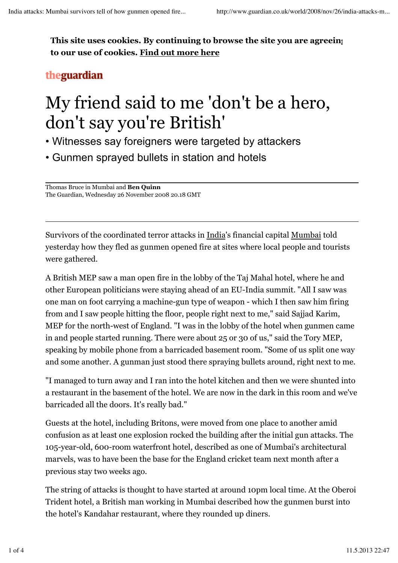**This site uses cookies. By continuing to browse the site you are agreeing to our use of cookies. Find out more here**

## theguardian

## My friend said to me 'don't be a hero, don't say you're British'

- Witnesses say foreigners were targeted by attackers
- Gunmen sprayed bullets in station and hotels

Thomas Bruce in Mumbai and **Ben Quinn** The Guardian, Wednesday 26 November 2008 20.18 GMT

Survivors of the coordinated terror attacks in India's financial capital Mumbai told yesterday how they fled as gunmen opened fire at sites where local people and tourists were gathered.

A British MEP saw a man open fire in the lobby of the Taj Mahal hotel, where he and other European politicians were staying ahead of an EU-India summit. "All I saw was one man on foot carrying a machine-gun type of weapon - which I then saw him firing from and I saw people hitting the floor, people right next to me," said Sajjad Karim, MEP for the north-west of England. "I was in the lobby of the hotel when gunmen came in and people started running. There were about 25 or 30 of us," said the Tory MEP, speaking by mobile phone from a barricaded basement room. "Some of us split one way and some another. A gunman just stood there spraying bullets around, right next to me.

"I managed to turn away and I ran into the hotel kitchen and then we were shunted into a restaurant in the basement of the hotel. We are now in the dark in this room and we've barricaded all the doors. It's really bad."

Guests at the hotel, including Britons, were moved from one place to another amid confusion as at least one explosion rocked the building after the initial gun attacks. The 105-year-old, 600-room waterfront hotel, described as one of Mumbai's architectural marvels, was to have been the base for the England cricket team next month after a previous stay two weeks ago.

The string of attacks is thought to have started at around 10pm local time. At the Oberoi Trident hotel, a British man working in Mumbai described how the gunmen burst into the hotel's Kandahar restaurant, where they rounded up diners.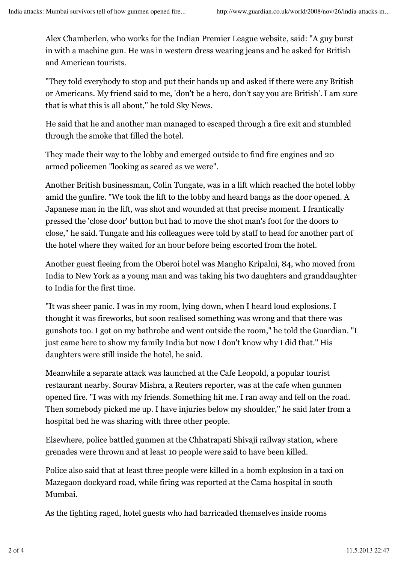Alex Chamberlen, who works for the Indian Premier League website, said: "A guy burst in with a machine gun. He was in western dress wearing jeans and he asked for British and American tourists.

"They told everybody to stop and put their hands up and asked if there were any British or Americans. My friend said to me, 'don't be a hero, don't say you are British'. I am sure that is what this is all about," he told Sky News.

He said that he and another man managed to escaped through a fire exit and stumbled through the smoke that filled the hotel.

They made their way to the lobby and emerged outside to find fire engines and 20 armed policemen "looking as scared as we were".

Another British businessman, Colin Tungate, was in a lift which reached the hotel lobby amid the gunfire. "We took the lift to the lobby and heard bangs as the door opened. A Japanese man in the lift, was shot and wounded at that precise moment. I frantically pressed the 'close door' button but had to move the shot man's foot for the doors to close," he said. Tungate and his colleagues were told by staff to head for another part of the hotel where they waited for an hour before being escorted from the hotel.

Another guest fleeing from the Oberoi hotel was Mangho Kripalni, 84, who moved from India to New York as a young man and was taking his two daughters and granddaughter to India for the first time.

"It was sheer panic. I was in my room, lying down, when I heard loud explosions. I thought it was fireworks, but soon realised something was wrong and that there was gunshots too. I got on my bathrobe and went outside the room," he told the Guardian. "I just came here to show my family India but now I don't know why I did that." His daughters were still inside the hotel, he said.

Meanwhile a separate attack was launched at the Cafe Leopold, a popular tourist restaurant nearby. Sourav Mishra, a Reuters reporter, was at the cafe when gunmen opened fire. "I was with my friends. Something hit me. I ran away and fell on the road. Then somebody picked me up. I have injuries below my shoulder," he said later from a hospital bed he was sharing with three other people.

Elsewhere, police battled gunmen at the Chhatrapati Shivaji railway station, where grenades were thrown and at least 10 people were said to have been killed.

Police also said that at least three people were killed in a bomb explosion in a taxi on Mazegaon dockyard road, while firing was reported at the Cama hospital in south Mumbai.

As the fighting raged, hotel guests who had barricaded themselves inside rooms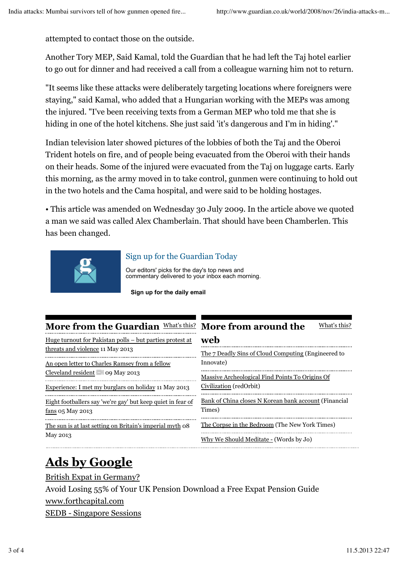attempted to contact those on the outside.

Another Tory MEP, Said Kamal, told the Guardian that he had left the Taj hotel earlier to go out for dinner and had received a call from a colleague warning him not to return.

"It seems like these attacks were deliberately targeting locations where foreigners were staying," said Kamal, who added that a Hungarian working with the MEPs was among the injured. "I've been receiving texts from a German MEP who told me that she is hiding in one of the hotel kitchens. She just said 'it's dangerous and I'm in hiding'."

Indian television later showed pictures of the lobbies of both the Taj and the Oberoi Trident hotels on fire, and of people being evacuated from the Oberoi with their hands on their heads. Some of the injured were evacuated from the Taj on luggage carts. Early this morning, as the army moved in to take control, gunmen were continuing to hold out in the two hotels and the Cama hospital, and were said to be holding hostages.

• This article was amended on Wednesday 30 July 2009. In the article above we quoted a man we said was called Alex Chamberlain. That should have been Chamberlen. This has been changed.



## Sign up for the Guardian Today

Our editors' picks for the day's top news and commentary delivered to your inbox each morning.

**Sign up for the daily email**

| More from the Guardian What's this? More from around the             | What's this?                                          |
|----------------------------------------------------------------------|-------------------------------------------------------|
| Huge turnout for Pakistan polls – but parties protest at             | web                                                   |
| threats and violence 11 May 2013                                     | The 7 Deadly Sins of Cloud Computing (Engineered to   |
| An open letter to Charles Ramsey from a fellow                       | Innovate)                                             |
| Cleveland resident $\sim$ 09 May 2013                                | Massive Archeological Find Points To Origins Of       |
| Experience: I met my burglars on holiday 11 May 2013                 | Civilization (redOrbit)                               |
| Eight footballers say 'we're gay' but keep quiet in fear of          | Bank of China closes N Korean bank account (Financial |
| fans 05 May 2013                                                     | Times)                                                |
| The sun is at last setting on Britain's imperial myth o <sub>8</sub> | The Corpse in the Bedroom (The New York Times)        |
| May 2013                                                             | Why We Should Meditate - (Words by Jo)                |

## **Ads by Google**

British Expat in Germany? Avoid Losing 55% of Your UK Pension Download a Free Expat Pension Guide www.forthcapital.com SEDB - Singapore Sessions